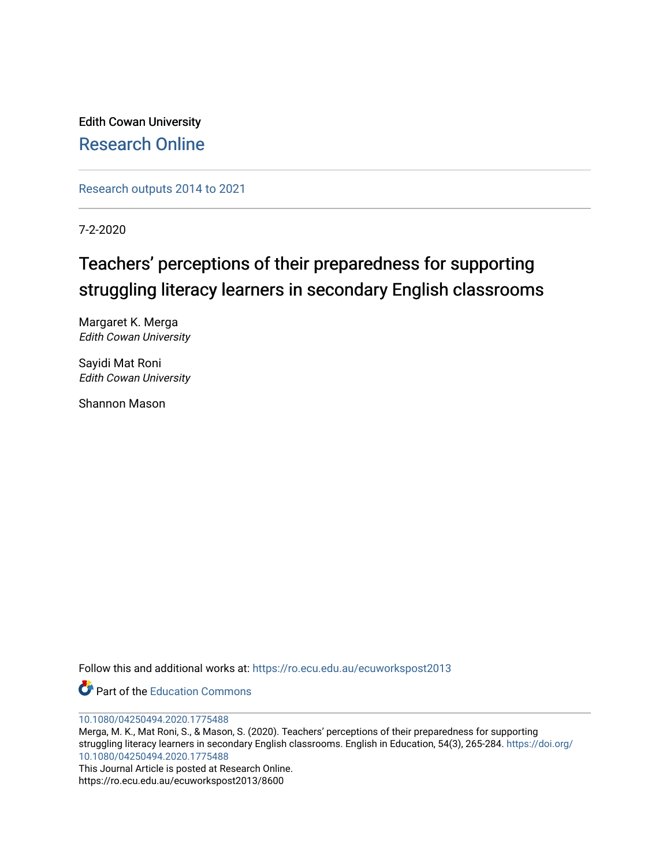Edith Cowan University [Research Online](https://ro.ecu.edu.au/) 

[Research outputs 2014 to 2021](https://ro.ecu.edu.au/ecuworkspost2013) 

7-2-2020

# Teachers' perceptions of their preparedness for supporting struggling literacy learners in secondary English classrooms

Margaret K. Merga Edith Cowan University

Sayidi Mat Roni Edith Cowan University

Shannon Mason

Follow this and additional works at: [https://ro.ecu.edu.au/ecuworkspost2013](https://ro.ecu.edu.au/ecuworkspost2013?utm_source=ro.ecu.edu.au%2Fecuworkspost2013%2F8600&utm_medium=PDF&utm_campaign=PDFCoverPages) 

**C** Part of the [Education Commons](http://network.bepress.com/hgg/discipline/784?utm_source=ro.ecu.edu.au%2Fecuworkspost2013%2F8600&utm_medium=PDF&utm_campaign=PDFCoverPages)

[10.1080/04250494.2020.1775488](http://dx.doi.org/10.1080/04250494.2020.1775488)

Merga, M. K., Mat Roni, S., & Mason, S. (2020). Teachers' perceptions of their preparedness for supporting struggling literacy learners in secondary English classrooms. English in Education, 54(3), 265-284. [https://doi.org/](https://doi.org/10.1080/04250494.2020.1775488) [10.1080/04250494.2020.1775488](https://doi.org/10.1080/04250494.2020.1775488)

This Journal Article is posted at Research Online. https://ro.ecu.edu.au/ecuworkspost2013/8600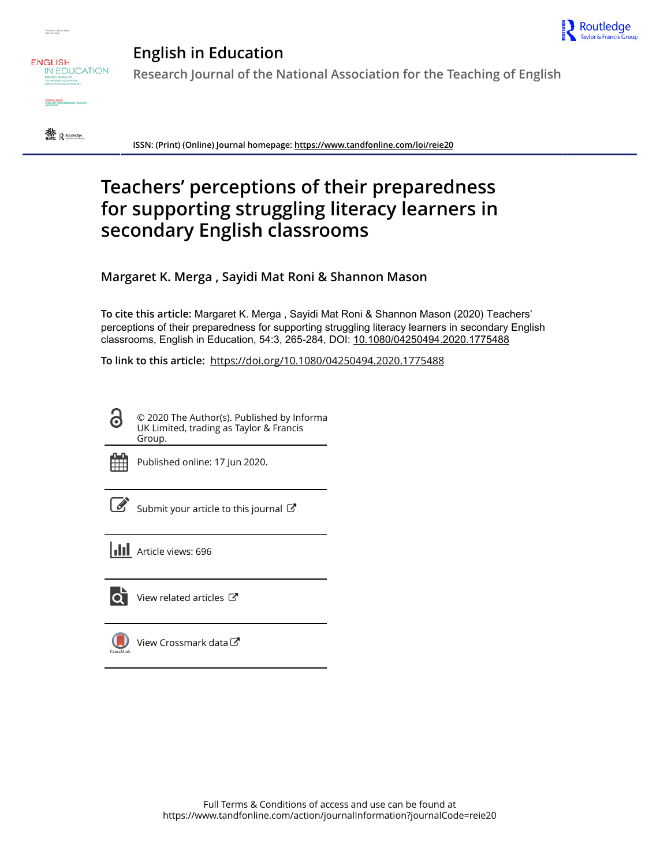





**English in Education Research Journal of the National Association for the Teaching of English**



**ISSN: (Print) (Online) Journal homepage:<https://www.tandfonline.com/loi/reie20>**

# **Teachers' perceptions of their preparedness for supporting struggling literacy learners in secondary English classrooms**

**Margaret K. Merga , Sayidi Mat Roni & Shannon Mason**

**To cite this article:** Margaret K. Merga , Sayidi Mat Roni & Shannon Mason (2020) Teachers' perceptions of their preparedness for supporting struggling literacy learners in secondary English classrooms, English in Education, 54:3, 265-284, DOI: [10.1080/04250494.2020.1775488](https://www.tandfonline.com/action/showCitFormats?doi=10.1080/04250494.2020.1775488)

**To link to this article:** <https://doi.org/10.1080/04250494.2020.1775488>

© 2020 The Author(s). Published by Informa UK Limited, trading as Taylor & Francis Group.



G

Published online: 17 Jun 2020.

[Submit your article to this journal](https://www.tandfonline.com/action/authorSubmission?journalCode=reie20&show=instructions)  $\mathbb{Z}$ 

**III** Article views: 696



 $\overline{\mathbf{Q}}$  [View related articles](https://www.tandfonline.com/doi/mlt/10.1080/04250494.2020.1775488)  $\mathbf{C}$ 

[View Crossmark data](http://crossmark.crossref.org/dialog/?doi=10.1080/04250494.2020.1775488&domain=pdf&date_stamp=2020-06-17) $\mathbb{Z}$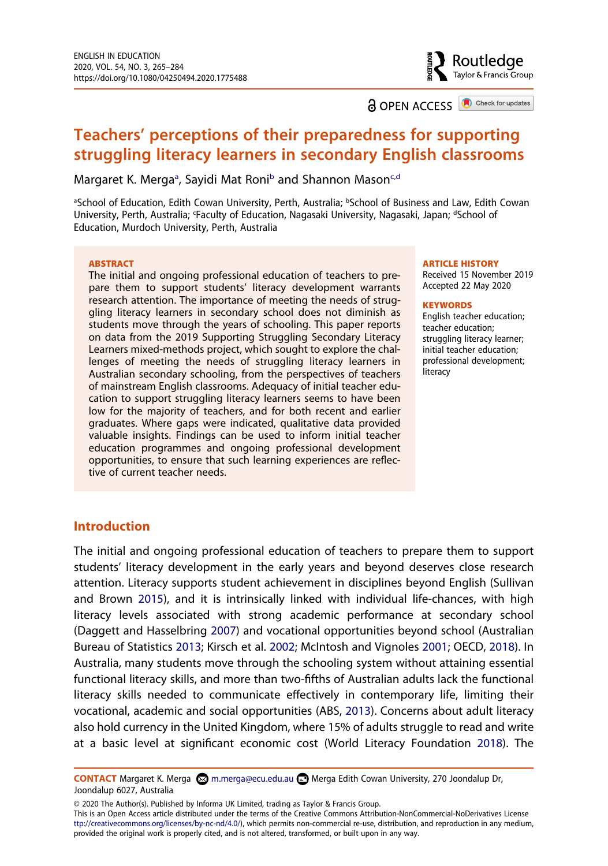**a** OPEN ACCESS **a** Check for updates

Routledae Taylor & Francis Group

# **Teachers' perceptions of their preparedness for supporting struggling literacy learners in secondary English classrooms**

M[a](#page-2-0)rgaret K. Merga<sup>a</sup>, Sayidi Mat Roni<sup>b</sup> and Shannon Mason<sup>[c,d](#page-2-1)</sup>

<span id="page-2-1"></span><span id="page-2-0"></span>aSchool of Education, Edith Cowan University, Perth, Australia; bSchool of Business and Law, Edith Cowan University, Perth, Australia; 'Faculty of Education, Nagasaki University, Nagasaki, Japan; dSchool of Education, Murdoch University, Perth, Australia

#### **ABSTRACT**

The initial and ongoing professional education of teachers to prepare them to support students' literacy development warrants research attention. The importance of meeting the needs of struggling literacy learners in secondary school does not diminish as students move through the years of schooling. This paper reports on data from the 2019 Supporting Struggling Secondary Literacy Learners mixed-methods project, which sought to explore the challenges of meeting the needs of struggling literacy learners in Australian secondary schooling, from the perspectives of teachers of mainstream English classrooms. Adequacy of initial teacher education to support struggling literacy learners seems to have been low for the majority of teachers, and for both recent and earlier graduates. Where gaps were indicated, qualitative data provided valuable insights. Findings can be used to inform initial teacher education programmes and ongoing professional development opportunities, to ensure that such learning experiences are reflective of current teacher needs.

#### **ARTICLE HISTORY**

Received 15 November 2019 Accepted 22 May 2020

#### **KEYWORDS**

English teacher education; teacher education; struggling literacy learner; initial teacher education; professional development; literacy

# **Introduction**

<span id="page-2-5"></span><span id="page-2-4"></span><span id="page-2-3"></span>The initial and ongoing professional education of teachers to prepare them to support students' literacy development in the early years and beyond deserves close research attention. Literacy supports student achievement in disciplines beyond English (Sullivan and Brown [2015\)](#page-21-0), and it is intrinsically linked with individual life-chances, with high literacy levels associated with strong academic performance at secondary school (Daggett and Hasselbring [2007\)](#page-19-0) and vocational opportunities beyond school (Australian Bureau of Statistics [2013](#page-19-1); Kirsch et al. [2002](#page-20-0); McIntosh and Vignoles [2001](#page-20-1); OECD, [2018\)](#page-21-1). In Australia, many students move through the schooling system without attaining essential functional literacy skills, and more than two-fifths of Australian adults lack the functional literacy skills needed to communicate effectively in contemporary life, limiting their vocational, academic and social opportunities (ABS, [2013\)](#page-19-1). Concerns about adult literacy also hold currency in the United Kingdom, where 15% of adults struggle to read and write at a basic level at significant economic cost (World Literacy Foundation [2018\)](#page-21-2). The

© 2020 The Author(s). Published by Informa UK Limited, trading as Taylor & Francis Group.

This is an Open Access article distributed under the terms of the Creative Commons Attribution-NonCommercial-NoDerivatives License ttp://creativecommons.org/licenses/by-nc-nd/4.0/), which permits non-commercial re-use, distribution, and reproduction in any medium, provided the original work is properly cited, and is not altered, transformed, or built upon in any way.

<span id="page-2-6"></span><span id="page-2-2"></span>**CONTACT** Margaret K. Merga **Interpretage Merga Contact** Merga Edith Cowan University, 270 Joondalup Dr, Joondalup 6027, Australia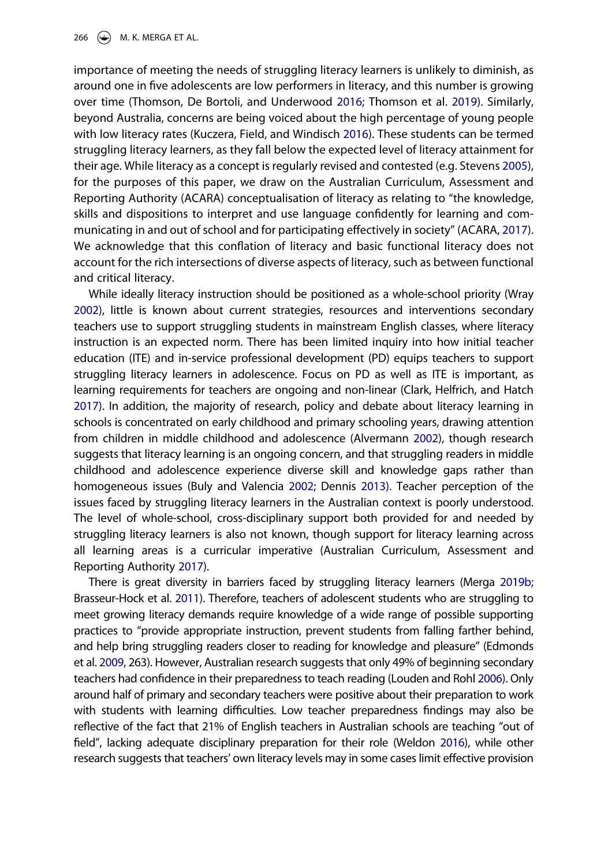<span id="page-3-10"></span><span id="page-3-9"></span><span id="page-3-6"></span>importance of meeting the needs of struggling literacy learners is unlikely to diminish, as around one in five adolescents are low performers in literacy, and this number is growing over time (Thomson, De Bortoli, and Underwood [2016;](#page-21-3) Thomson et al. [2019](#page-21-4)). Similarly, beyond Australia, concerns are being voiced about the high percentage of young people with low literacy rates (Kuczera, Field, and Windisch [2016](#page-20-2)). These students can be termed struggling literacy learners, as they fall below the expected level of literacy attainment for their age. While literacy as a concept is regularly revised and contested (e.g. Stevens [2005](#page-21-5)), for the purposes of this paper, we draw on the Australian Curriculum, Assessment and Reporting Authority (ACARA) conceptualisation of literacy as relating to "the knowledge, skills and dispositions to interpret and use language confidently for learning and communicating in and out of school and for participating effectively in society" (ACARA, [2017](#page-19-2)). We acknowledge that this conflation of literacy and basic functional literacy does not account for the rich intersections of diverse aspects of literacy, such as between functional and critical literacy.

<span id="page-3-12"></span><span id="page-3-4"></span><span id="page-3-0"></span>While ideally literacy instruction should be positioned as a whole-school priority (Wray [2002](#page-21-6)), little is known about current strategies, resources and interventions secondary teachers use to support struggling students in mainstream English classes, where literacy instruction is an expected norm. There has been limited inquiry into how initial teacher education (ITE) and in-service professional development (PD) equips teachers to support struggling literacy learners in adolescence. Focus on PD as well as ITE is important, as learning requirements for teachers are ongoing and non-linear (Clark, Helfrich, and Hatch [2017](#page-19-3)). In addition, the majority of research, policy and debate about literacy learning in schools is concentrated on early childhood and primary schooling years, drawing attention from children in middle childhood and adolescence (Alvermann [2002\)](#page-19-4), though research suggests that literacy learning is an ongoing concern, and that struggling readers in middle childhood and adolescence experience diverse skill and knowledge gaps rather than homogeneous issues (Buly and Valencia [2002;](#page-19-5) Dennis [2013](#page-19-6)). Teacher perception of the issues faced by struggling literacy learners in the Australian context is poorly understood. The level of whole-school, cross-disciplinary support both provided for and needed by struggling literacy learners is also not known, though support for literacy learning across all learning areas is a curricular imperative (Australian Curriculum, Assessment and Reporting Authority [2017\)](#page-19-2).

<span id="page-3-11"></span><span id="page-3-8"></span><span id="page-3-7"></span><span id="page-3-5"></span><span id="page-3-3"></span><span id="page-3-2"></span><span id="page-3-1"></span>There is great diversity in barriers faced by struggling literacy learners (Merga [2019b](#page-20-3); Brasseur-Hock et al. [2011\)](#page-19-7). Therefore, teachers of adolescent students who are struggling to meet growing literacy demands require knowledge of a wide range of possible supporting practices to "provide appropriate instruction, prevent students from falling farther behind, and help bring struggling readers closer to reading for knowledge and pleasure" (Edmonds et al. [2009](#page-20-4), 263). However, Australian research suggests that only 49% of beginning secondary teachers had confidence in their preparedness to teach reading (Louden and Rohl [2006\)](#page-20-5). Only around half of primary and secondary teachers were positive about their preparation to work with students with learning difficulties. Low teacher preparedness findings may also be reflective of the fact that 21% of English teachers in Australian schools are teaching "out of field", lacking adequate disciplinary preparation for their role (Weldon [2016\)](#page-21-7), while other research suggests that teachers' own literacy levels may in some cases limit effective provision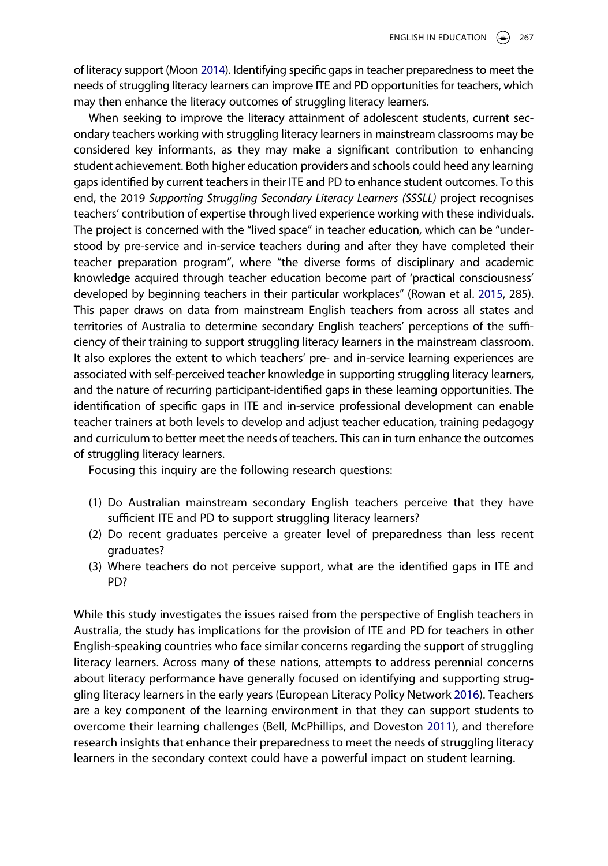<span id="page-4-2"></span>of literacy support (Moon [2014\)](#page-21-8). Identifying specific gaps in teacher preparedness to meet the needs of struggling literacy learners can improve ITE and PD opportunities for teachers, which may then enhance the literacy outcomes of struggling literacy learners.

<span id="page-4-3"></span>When seeking to improve the literacy attainment of adolescent students, current secondary teachers working with struggling literacy learners in mainstream classrooms may be considered key informants, as they may make a significant contribution to enhancing student achievement. Both higher education providers and schools could heed any learning gaps identified by current teachers in their ITE and PD to enhance student outcomes. To this end, the 2019 *Supporting Struggling Secondary Literacy Learners (SSSLL)* project recognises teachers' contribution of expertise through lived experience working with these individuals. The project is concerned with the "lived space" in teacher education, which can be "understood by pre-service and in-service teachers during and after they have completed their teacher preparation program", where "the diverse forms of disciplinary and academic knowledge acquired through teacher education become part of 'practical consciousness' developed by beginning teachers in their particular workplaces" (Rowan et al. [2015](#page-21-9), 285). This paper draws on data from mainstream English teachers from across all states and territories of Australia to determine secondary English teachers' perceptions of the sufficiency of their training to support struggling literacy learners in the mainstream classroom. It also explores the extent to which teachers' pre- and in-service learning experiences are associated with self-perceived teacher knowledge in supporting struggling literacy learners, and the nature of recurring participant-identified gaps in these learning opportunities. The identification of specific gaps in ITE and in-service professional development can enable teacher trainers at both levels to develop and adjust teacher education, training pedagogy and curriculum to better meet the needs of teachers. This can in turn enhance the outcomes of struggling literacy learners.

Focusing this inquiry are the following research questions:

- (1) Do Australian mainstream secondary English teachers perceive that they have sufficient ITE and PD to support struggling literacy learners?
- (2) Do recent graduates perceive a greater level of preparedness than less recent graduates?
- (3) Where teachers do not perceive support, what are the identified gaps in ITE and PD?

<span id="page-4-1"></span><span id="page-4-0"></span>While this study investigates the issues raised from the perspective of English teachers in Australia, the study has implications for the provision of ITE and PD for teachers in other English-speaking countries who face similar concerns regarding the support of struggling literacy learners. Across many of these nations, attempts to address perennial concerns about literacy performance have generally focused on identifying and supporting struggling literacy learners in the early years (European Literacy Policy Network [2016](#page-20-6)). Teachers are a key component of the learning environment in that they can support students to overcome their learning challenges (Bell, McPhillips, and Doveston [2011](#page-19-8)), and therefore research insights that enhance their preparedness to meet the needs of struggling literacy learners in the secondary context could have a powerful impact on student learning.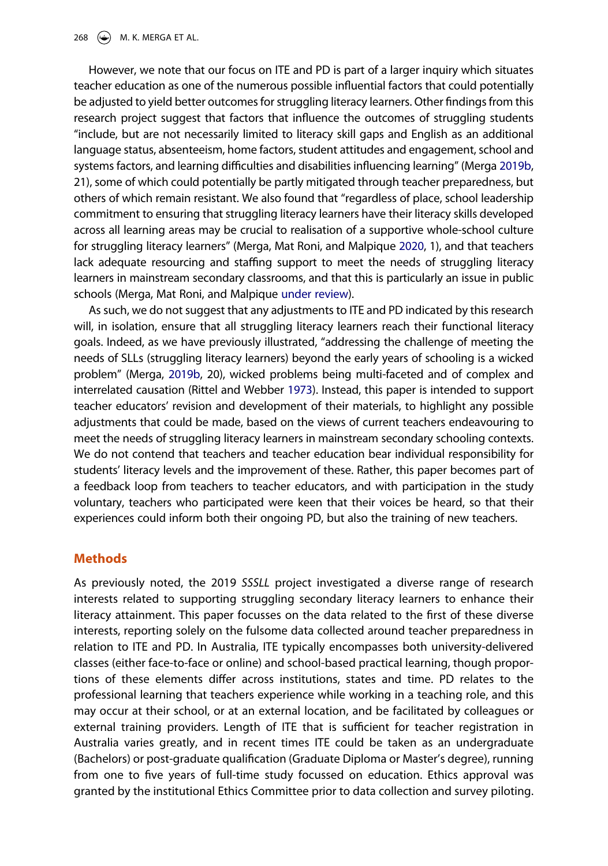However, we note that our focus on ITE and PD is part of a larger inquiry which situates teacher education as one of the numerous possible influential factors that could potentially be adjusted to yield better outcomes for struggling literacy learners. Other findings from this research project suggest that factors that influence the outcomes of struggling students "include, but are not necessarily limited to literacy skill gaps and English as an additional language status, absenteeism, home factors, student attitudes and engagement, school and systems factors, and learning difficulties and disabilities influencing learning" (Merga [2019b](#page-20-3), 21), some of which could potentially be partly mitigated through teacher preparedness, but others of which remain resistant. We also found that "regardless of place, school leadership commitment to ensuring that struggling literacy learners have their literacy skills developed across all learning areas may be crucial to realisation of a supportive whole-school culture for struggling literacy learners" (Merga, Mat Roni, and Malpique [2020](#page-20-7), 1), and that teachers lack adequate resourcing and staffing support to meet the needs of struggling literacy learners in mainstream secondary classrooms, and that this is particularly an issue in public schools (Merga, Mat Roni, and Malpique [under review\)](#page-21-10).

<span id="page-5-2"></span><span id="page-5-1"></span><span id="page-5-0"></span>As such, we do not suggest that any adjustments to ITE and PD indicated by this research will, in isolation, ensure that all struggling literacy learners reach their functional literacy goals. Indeed, as we have previously illustrated, "addressing the challenge of meeting the needs of SLLs (struggling literacy learners) beyond the early years of schooling is a wicked problem" (Merga, [2019b](#page-20-3), 20), wicked problems being multi-faceted and of complex and interrelated causation (Rittel and Webber [1973\)](#page-21-11). Instead, this paper is intended to support teacher educators' revision and development of their materials, to highlight any possible adjustments that could be made, based on the views of current teachers endeavouring to meet the needs of struggling literacy learners in mainstream secondary schooling contexts. We do not contend that teachers and teacher education bear individual responsibility for students' literacy levels and the improvement of these. Rather, this paper becomes part of a feedback loop from teachers to teacher educators, and with participation in the study voluntary, teachers who participated were keen that their voices be heard, so that their experiences could inform both their ongoing PD, but also the training of new teachers.

## **Methods**

As previously noted, the 2019 *SSSLL* project investigated a diverse range of research interests related to supporting struggling secondary literacy learners to enhance their literacy attainment. This paper focusses on the data related to the first of these diverse interests, reporting solely on the fulsome data collected around teacher preparedness in relation to ITE and PD. In Australia, ITE typically encompasses both university-delivered classes (either face-to-face or online) and school-based practical learning, though proportions of these elements differ across institutions, states and time. PD relates to the professional learning that teachers experience while working in a teaching role, and this may occur at their school, or at an external location, and be facilitated by colleagues or external training providers. Length of ITE that is sufficient for teacher registration in Australia varies greatly, and in recent times ITE could be taken as an undergraduate (Bachelors) or post-graduate qualification (Graduate Diploma or Master's degree), running from one to five years of full-time study focussed on education. Ethics approval was granted by the institutional Ethics Committee prior to data collection and survey piloting.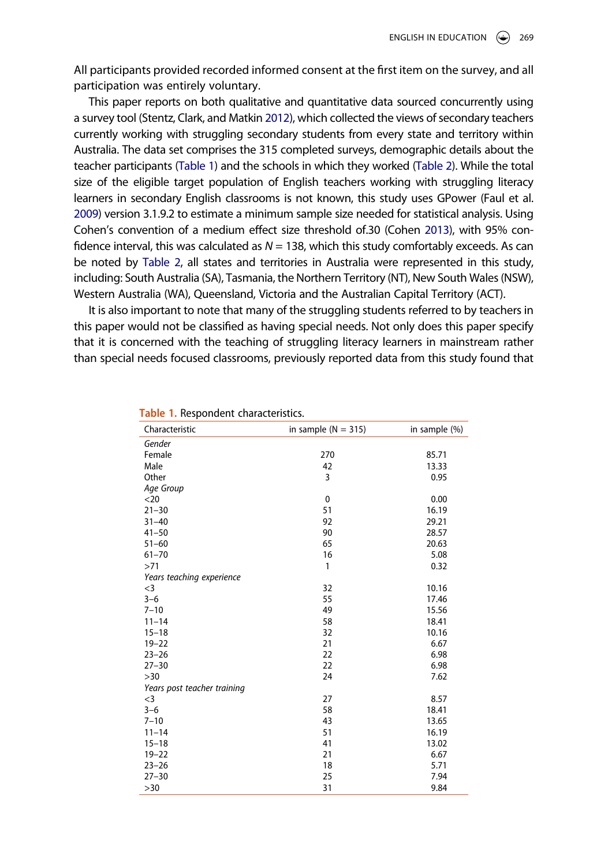All participants provided recorded informed consent at the first item on the survey, and all participation was entirely voluntary.

<span id="page-6-3"></span><span id="page-6-2"></span>This paper reports on both qualitative and quantitative data sourced concurrently using a survey tool (Stentz, Clark, and Matkin [2012\)](#page-21-12), which collected the views of secondary teachers currently working with struggling secondary students from every state and territory within Australia. The data set comprises the 315 completed surveys, demographic details about the teacher participants [\(Table 1](#page-6-0)) and the schools in which they worked ([Table 2\)](#page-7-0). While the total size of the eligible target population of English teachers working with struggling literacy learners in secondary English classrooms is not known, this study uses GPower (Faul et al. [2009\)](#page-20-8) version 3.1.9.2 to estimate a minimum sample size needed for statistical analysis. Using Cohen's convention of a medium effect size threshold of.30 (Cohen [2013\)](#page-19-9), with 95% confidence interval, this was calculated as *N* = 138, which this study comfortably exceeds. As can be noted by [Table 2](#page-7-0), all states and territories in Australia were represented in this study, including: South Australia (SA), Tasmania, the Northern Territory (NT), New South Wales (NSW), Western Australia (WA), Queensland, Victoria and the Australian Capital Territory (ACT).

<span id="page-6-1"></span>It is also important to note that many of the struggling students referred to by teachers in this paper would not be classified as having special needs. Not only does this paper specify that it is concerned with the teaching of struggling literacy learners in mainstream rather than special needs focused classrooms, previously reported data from this study found that

| Characteristic              | in sample $(N = 315)$ | in sample (%) |
|-----------------------------|-----------------------|---------------|
| Gender                      |                       |               |
| Female                      | 270                   | 85.71         |
| Male                        | 42                    | 13.33         |
| Other                       | 3                     | 0.95          |
| Age Group                   |                       |               |
| $20$                        | 0                     | 0.00          |
| $21 - 30$                   | 51                    | 16.19         |
| $31 - 40$                   | 92                    | 29.21         |
| $41 - 50$                   | 90                    | 28.57         |
| $51 - 60$                   | 65                    | 20.63         |
| $61 - 70$                   | 16                    | 5.08          |
| >71                         | 1                     | 0.32          |
| Years teaching experience   |                       |               |
| $<$ 3                       | 32                    | 10.16         |
| $3 - 6$                     | 55                    | 17.46         |
| $7 - 10$                    | 49                    | 15.56         |
| $11 - 14$                   | 58                    | 18.41         |
| $15 - 18$                   | 32                    | 10.16         |
| $19 - 22$                   | 21                    | 6.67          |
| $23 - 26$                   | 22                    | 6.98          |
| $27 - 30$                   | 22                    | 6.98          |
| >30                         | 24                    | 7.62          |
| Years post teacher training |                       |               |
| $<$ 3                       | 27                    | 8.57          |
| $3 - 6$                     | 58                    | 18.41         |
| $7 - 10$                    | 43                    | 13.65         |
| $11 - 14$                   | 51                    | 16.19         |
| $15 - 18$                   | 41                    | 13.02         |
| $19 - 22$                   | 21                    | 6.67          |
| $23 - 26$                   | 18                    | 5.71          |
| $27 - 30$                   | 25                    | 7.94          |
| >30                         | 31                    | 9.84          |

#### <span id="page-6-0"></span>**Table 1.** Respondent characteristics.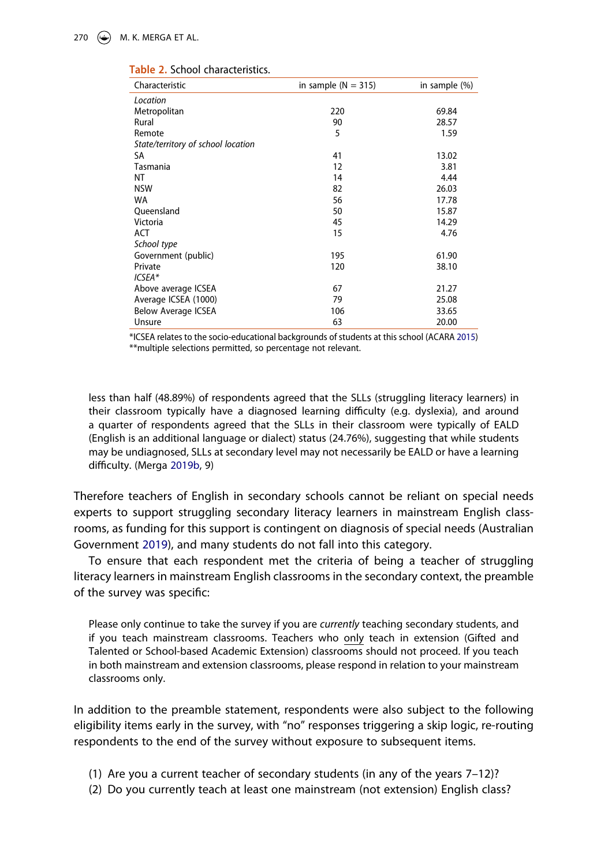| Characteristic                     | in sample $(N = 315)$ | in sample (%) |
|------------------------------------|-----------------------|---------------|
| Location                           |                       |               |
| Metropolitan                       | 220                   | 69.84         |
| Rural                              | 90                    | 28.57         |
| Remote                             | 5                     | 1.59          |
| State/territory of school location |                       |               |
| SA                                 | 41                    | 13.02         |
| Tasmania                           | 12                    | 3.81          |
| ΝT                                 | 14                    | 4.44          |
| <b>NSW</b>                         | 82                    | 26.03         |
| <b>WA</b>                          | 56                    | 17.78         |
| Oueensland                         | 50                    | 15.87         |
| Victoria                           | 45                    | 14.29         |
| <b>ACT</b>                         | 15                    | 4.76          |
| School type                        |                       |               |
| Government (public)                | 195                   | 61.90         |
| Private                            | 120                   | 38.10         |
| ICSEA*                             |                       |               |
| Above average ICSEA                | 67                    | 21.27         |
| Average ICSEA (1000)               | 79                    | 25.08         |
| <b>Below Average ICSEA</b>         | 106                   | 33.65         |
| Unsure                             | 63                    | 20.00         |

#### <span id="page-7-0"></span>**Table 2.** School characteristics.

<span id="page-7-1"></span>\*ICSEA relates to the socio-educational backgrounds of students at this school (ACARA [2015\)](#page-19-11) \*\*multiple selections permitted, so percentage not relevant.

less than half (48.89%) of respondents agreed that the SLLs (struggling literacy learners) in their classroom typically have a diagnosed learning difficulty (e.g. dyslexia), and around a quarter of respondents agreed that the SLLs in their classroom were typically of EALD (English is an additional language or dialect) status (24.76%), suggesting that while students may be undiagnosed, SLLs at secondary level may not necessarily be EALD or have a learning difficulty. (Merga [2019b,](#page-20-3) 9)

Therefore teachers of English in secondary schools cannot be reliant on special needs experts to support struggling secondary literacy learners in mainstream English classrooms, as funding for this support is contingent on diagnosis of special needs (Australian Government [2019](#page-19-10)), and many students do not fall into this category.

<span id="page-7-2"></span>To ensure that each respondent met the criteria of being a teacher of struggling literacy learners in mainstream English classrooms in the secondary context, the preamble of the survey was specific:

Please only continue to take the survey if you are *currently* teaching secondary students, and if you teach mainstream classrooms. Teachers who only teach in extension (Gifted and Talented or School-based Academic Extension) classrooms should not proceed. If you teach in both mainstream and extension classrooms, please respond in relation to your mainstream classrooms only.

In addition to the preamble statement, respondents were also subject to the following eligibility items early in the survey, with "no" responses triggering a skip logic, re-routing respondents to the end of the survey without exposure to subsequent items.

- (1) Are you a current teacher of secondary students (in any of the years 7–12)?
- (2) Do you currently teach at least one mainstream (not extension) English class?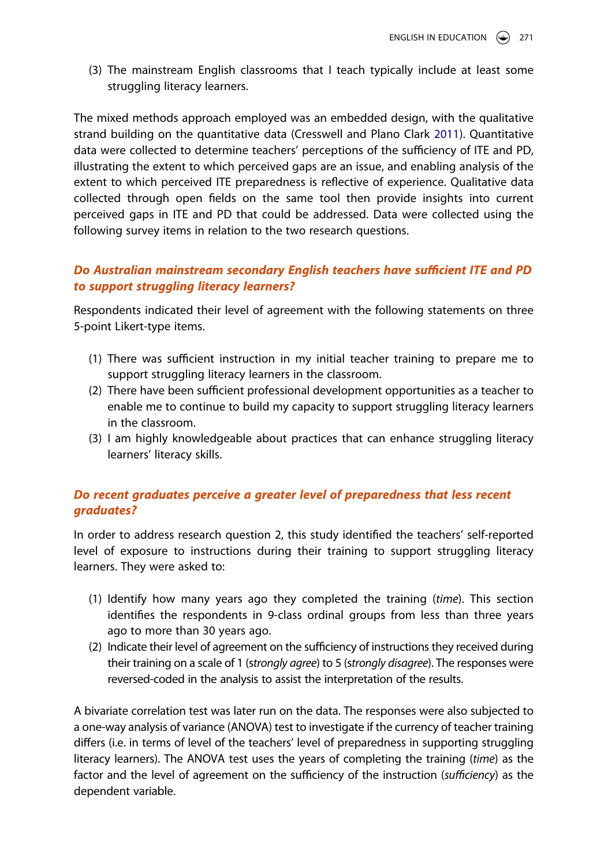(3) The mainstream English classrooms that I teach typically include at least some struggling literacy learners.

<span id="page-8-0"></span>The mixed methods approach employed was an embedded design, with the qualitative strand building on the quantitative data (Cresswell and Plano Clark [2011\)](#page-19-12). Quantitative data were collected to determine teachers' perceptions of the sufficiency of ITE and PD, illustrating the extent to which perceived gaps are an issue, and enabling analysis of the extent to which perceived ITE preparedness is reflective of experience. Qualitative data collected through open fields on the same tool then provide insights into current perceived gaps in ITE and PD that could be addressed. Data were collected using the following survey items in relation to the two research questions.

# *Do Australian mainstream secondary English teachers have sufficient ITE and PD to support struggling literacy learners?*

Respondents indicated their level of agreement with the following statements on three 5-point Likert-type items.

- (1) There was sufficient instruction in my initial teacher training to prepare me to support struggling literacy learners in the classroom.
- (2) There have been sufficient professional development opportunities as a teacher to enable me to continue to build my capacity to support struggling literacy learners in the classroom.
- (3) I am highly knowledgeable about practices that can enhance struggling literacy learners' literacy skills.

# *Do recent graduates perceive a greater level of preparedness that less recent graduates?*

In order to address research question 2, this study identified the teachers' self-reported level of exposure to instructions during their training to support struggling literacy learners. They were asked to:

- (1) Identify how many years ago they completed the training (*time*). This section identifies the respondents in 9-class ordinal groups from less than three years ago to more than 30 years ago.
- (2) Indicate their level of agreement on the sufficiency of instructions they received during their training on a scale of 1 (s*trongly agree*) to 5 (s*trongly disagree*). The responses were reversed-coded in the analysis to assist the interpretation of the results.

A bivariate correlation test was later run on the data. The responses were also subjected to a one-way analysis of variance (ANOVA) test to investigate if the currency of teacher training differs (i.e. in terms of level of the teachers' level of preparedness in supporting struggling literacy learners). The ANOVA test uses the years of completing the training (*time*) as the factor and the level of agreement on the sufficiency of the instruction (*sufficiency*) as the dependent variable.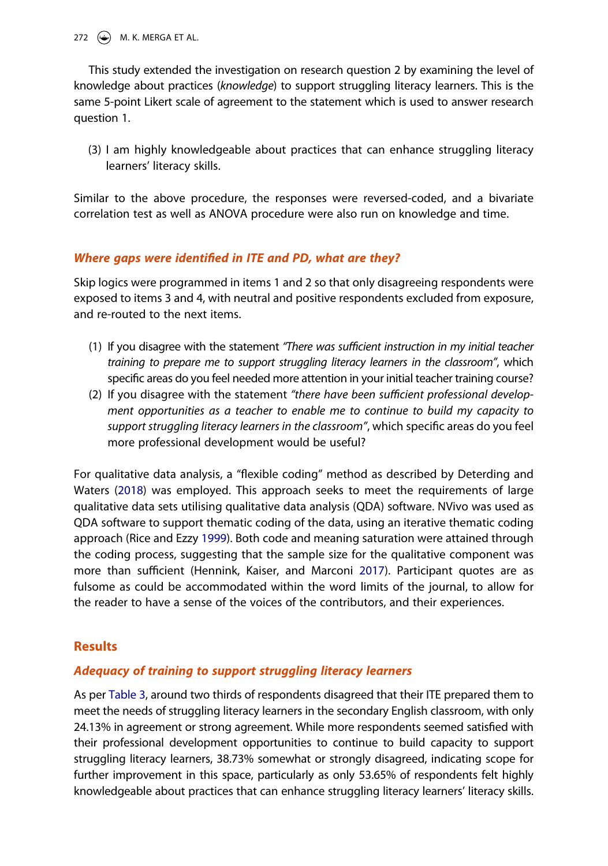272  $\left(\frac{1}{2}\right)$  M. K. MERGA ET AL.

This study extended the investigation on research question 2 by examining the level of knowledge about practices (*knowledge*) to support struggling literacy learners. This is the same 5-point Likert scale of agreement to the statement which is used to answer research question 1.

(3) I am highly knowledgeable about practices that can enhance struggling literacy learners' literacy skills.

Similar to the above procedure, the responses were reversed-coded, and a bivariate correlation test as well as ANOVA procedure were also run on knowledge and time.

# *Where gaps were identified in ITE and PD, what are they?*

Skip logics were programmed in items 1 and 2 so that only disagreeing respondents were exposed to items 3 and 4, with neutral and positive respondents excluded from exposure, and re-routed to the next items.

- (1) If you disagree with the statement *"There was sufficient instruction in my initial teacher training to prepare me to support struggling literacy learners in the classroom"*, which specific areas do you feel needed more attention in your initial teacher training course?
- (2) If you disagree with the statement *"there have been sufficient professional development opportunities as a teacher to enable me to continue to build my capacity to support struggling literacy learners in the classroom"*, which specific areas do you feel more professional development would be useful?

<span id="page-9-2"></span><span id="page-9-0"></span>For qualitative data analysis, a "flexible coding" method as described by Deterding and Waters ([2018](#page-20-9)) was employed. This approach seeks to meet the requirements of large qualitative data sets utilising qualitative data analysis (QDA) software. NVivo was used as QDA software to support thematic coding of the data, using an iterative thematic coding approach (Rice and Ezzy [1999\)](#page-21-13). Both code and meaning saturation were attained through the coding process, suggesting that the sample size for the qualitative component was more than sufficient (Hennink, Kaiser, and Marconi [2017](#page-20-10)). Participant quotes are as fulsome as could be accommodated within the word limits of the journal, to allow for the reader to have a sense of the voices of the contributors, and their experiences.

# <span id="page-9-1"></span>**Results**

# *Adequacy of training to support struggling literacy learners*

As per [Table 3](#page-10-0), around two thirds of respondents disagreed that their ITE prepared them to meet the needs of struggling literacy learners in the secondary English classroom, with only 24.13% in agreement or strong agreement. While more respondents seemed satisfied with their professional development opportunities to continue to build capacity to support struggling literacy learners, 38.73% somewhat or strongly disagreed, indicating scope for further improvement in this space, particularly as only 53.65% of respondents felt highly knowledgeable about practices that can enhance struggling literacy learners' literacy skills.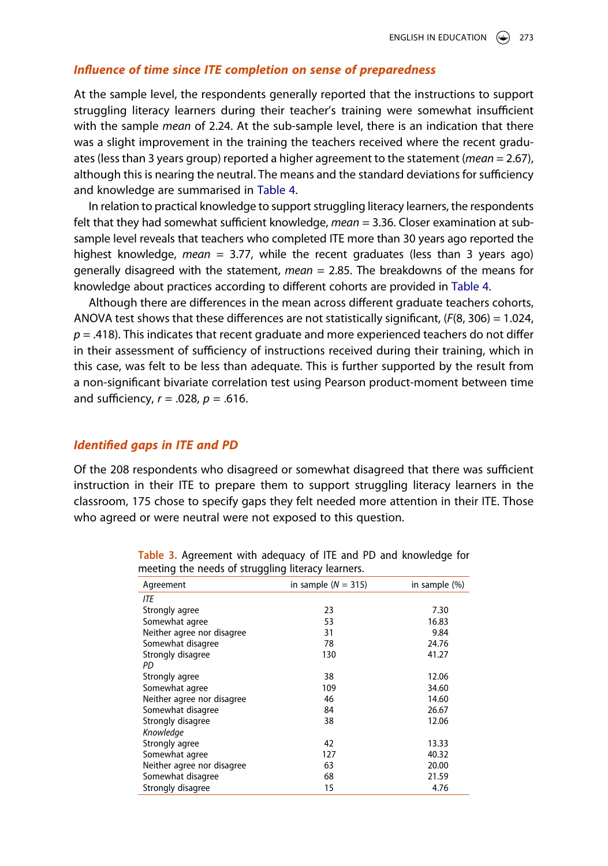### *Influence of time since ITE completion on sense of preparedness*

At the sample level, the respondents generally reported that the instructions to support struggling literacy learners during their teacher's training were somewhat insufficient with the sample *mean* of 2.24. At the sub-sample level, there is an indication that there was a slight improvement in the training the teachers received where the recent graduates (less than 3 years group) reported a higher agreement to the statement (*mean* = 2.67), although this is nearing the neutral. The means and the standard deviations for sufficiency and knowledge are summarised in [Table 4.](#page-11-0)

In relation to practical knowledge to support struggling literacy learners, the respondents felt that they had somewhat sufficient knowledge, *mean* = 3.36. Closer examination at subsample level reveals that teachers who completed ITE more than 30 years ago reported the highest knowledge, *mean* = 3.77, while the recent graduates (less than 3 years ago) generally disagreed with the statement, *mean* = 2.85. The breakdowns of the means for knowledge about practices according to different cohorts are provided in [Table 4.](#page-11-0)

Although there are differences in the mean across different graduate teachers cohorts, ANOVA test shows that these differences are not statistically significant, (*F*(8, 306) = 1.024,  $p = .418$ ). This indicates that recent graduate and more experienced teachers do not differ in their assessment of sufficiency of instructions received during their training, which in this case, was felt to be less than adequate. This is further supported by the result from a non-significant bivariate correlation test using Pearson product-moment between time and sufficiency, *r* = .028, *p* = .616.

# *Identified gaps in ITE and PD*

Of the 208 respondents who disagreed or somewhat disagreed that there was sufficient instruction in their ITE to prepare them to support struggling literacy learners in the classroom, 175 chose to specify gaps they felt needed more attention in their ITE. Those who agreed or were neutral were not exposed to this question.

|                            | --                    |               |
|----------------------------|-----------------------|---------------|
| Agreement                  | in sample $(N = 315)$ | in sample (%) |
| <b>ITE</b>                 |                       |               |
| Strongly agree             | 23                    | 7.30          |
| Somewhat agree             | 53                    | 16.83         |
| Neither agree nor disagree | 31                    | 9.84          |
| Somewhat disagree          | 78                    | 24.76         |
| Strongly disagree          | 130                   | 41.27         |
| PD                         |                       |               |
| Strongly agree             | 38                    | 12.06         |
| Somewhat agree             | 109                   | 34.60         |
| Neither agree nor disagree | 46                    | 14.60         |
| Somewhat disagree          | 84                    | 26.67         |
| Strongly disagree          | 38                    | 12.06         |
| Knowledge                  |                       |               |
| Strongly agree             | 42                    | 13.33         |
| Somewhat agree             | 127                   | 40.32         |
| Neither agree nor disagree | 63                    | 20.00         |
| Somewhat disagree          | 68                    | 21.59         |
| Strongly disagree          | 15                    | 4.76          |

<span id="page-10-0"></span>**Table 3.** Agreement with adequacy of ITE and PD and knowledge for meeting the needs of struggling literacy learners.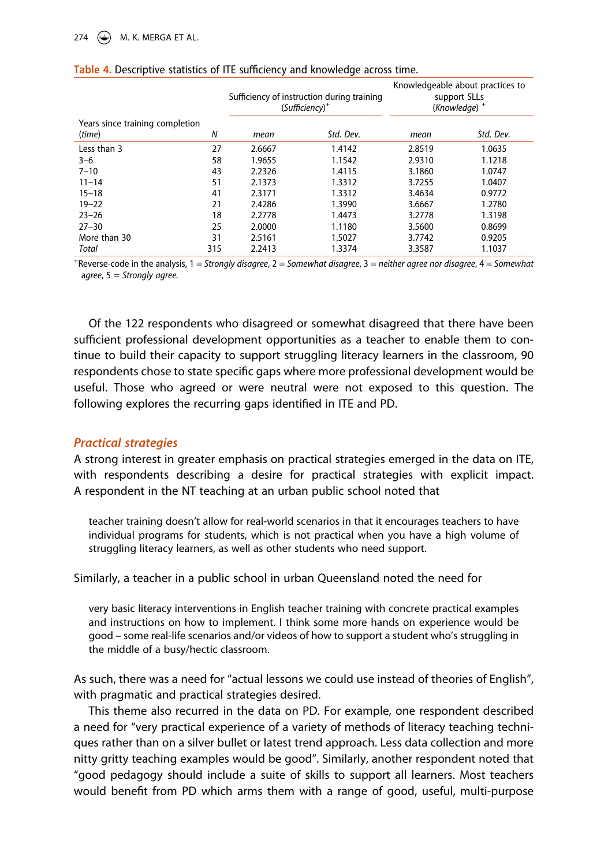#### 274  $\left(\frac{1}{2}\right)$  M. K. MERGA ET AL.

|                                           |     | Sufficiency of instruction during training<br>$(Sufficiency)^+$ |           | Knowledgeable about practices to<br>support SLLs<br>$(Knowledge)$ <sup>+</sup> |           |
|-------------------------------------------|-----|-----------------------------------------------------------------|-----------|--------------------------------------------------------------------------------|-----------|
| Years since training completion<br>(time) | N   | mean                                                            | Std. Dev. | mean                                                                           | Std. Dev. |
| Less than 3                               | 27  | 2.6667                                                          | 1.4142    | 2.8519                                                                         | 1.0635    |
| $3 - 6$                                   | 58  | 1.9655                                                          | 1.1542    | 2.9310                                                                         | 1.1218    |
| $7 - 10$                                  | 43  | 2.2326                                                          | 1.4115    | 3.1860                                                                         | 1.0747    |
| $11 - 14$                                 | 51  | 2.1373                                                          | 1.3312    | 3.7255                                                                         | 1.0407    |
| $15 - 18$                                 | 41  | 2.3171                                                          | 1.3312    | 3.4634                                                                         | 0.9772    |
| $19 - 22$                                 | 21  | 2.4286                                                          | 1.3990    | 3.6667                                                                         | 1.2780    |
| $23 - 26$                                 | 18  | 2.2778                                                          | 1.4473    | 3.2778                                                                         | 1.3198    |
| $27 - 30$                                 | 25  | 2.0000                                                          | 1.1180    | 3.5600                                                                         | 0.8699    |
| More than 30                              | 31  | 2.5161                                                          | 1.5027    | 3.7742                                                                         | 0.9205    |
| Total                                     | 315 | 2.2413                                                          | 1.3374    | 3.3587                                                                         | 1.1037    |

#### <span id="page-11-0"></span>**Table 4.** Descriptive statistics of ITE sufficiency and knowledge across time.

+ Reverse-code in the analysis, 1 = *Strongly disagree*, 2 = *Somewhat disagree*, 3 = *neither agree nor disagree*, 4 = *Somewhat*  a*gree*, 5 = *Strongly agree.*

Of the 122 respondents who disagreed or somewhat disagreed that there have been sufficient professional development opportunities as a teacher to enable them to continue to build their capacity to support struggling literacy learners in the classroom, 90 respondents chose to state specific gaps where more professional development would be useful. Those who agreed or were neutral were not exposed to this question. The following explores the recurring gaps identified in ITE and PD.

# *Practical strategies*

A strong interest in greater emphasis on practical strategies emerged in the data on ITE, with respondents describing a desire for practical strategies with explicit impact. A respondent in the NT teaching at an urban public school noted that

teacher training doesn't allow for real-world scenarios in that it encourages teachers to have individual programs for students, which is not practical when you have a high volume of struggling literacy learners, as well as other students who need support.

Similarly, a teacher in a public school in urban Queensland noted the need for

very basic literacy interventions in English teacher training with concrete practical examples and instructions on how to implement. I think some more hands on experience would be good – some real-life scenarios and/or videos of how to support a student who's struggling in the middle of a busy/hectic classroom.

As such, there was a need for "actual lessons we could use instead of theories of English", with pragmatic and practical strategies desired.

This theme also recurred in the data on PD. For example, one respondent described a need for "very practical experience of a variety of methods of literacy teaching techniques rather than on a silver bullet or latest trend approach. Less data collection and more nitty gritty teaching examples would be good". Similarly, another respondent noted that "good pedagogy should include a suite of skills to support all learners. Most teachers would benefit from PD which arms them with a range of good, useful, multi-purpose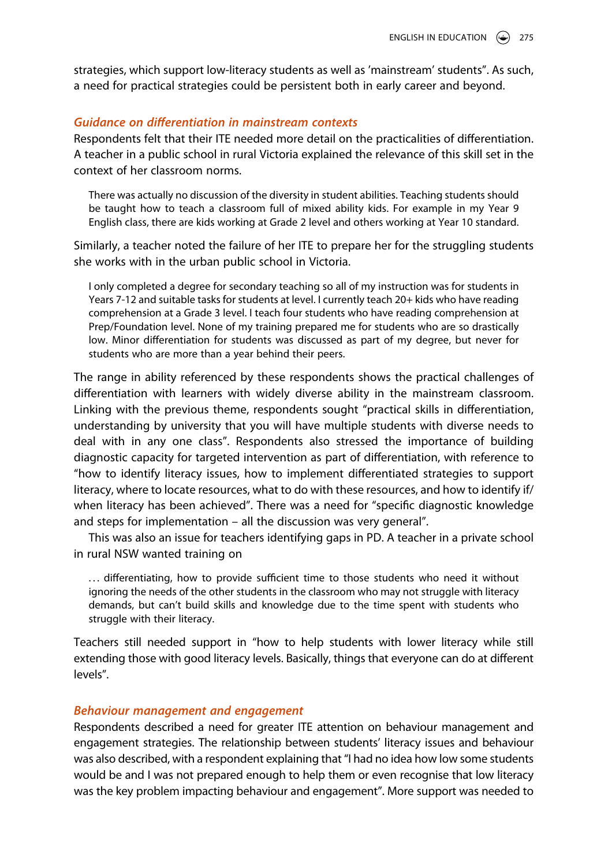strategies, which support low-literacy students as well as 'mainstream' students". As such, a need for practical strategies could be persistent both in early career and beyond.

# *Guidance on differentiation in mainstream contexts*

Respondents felt that their ITE needed more detail on the practicalities of differentiation. A teacher in a public school in rural Victoria explained the relevance of this skill set in the context of her classroom norms.

There was actually no discussion of the diversity in student abilities. Teaching students should be taught how to teach a classroom full of mixed ability kids. For example in my Year 9 English class, there are kids working at Grade 2 level and others working at Year 10 standard.

Similarly, a teacher noted the failure of her ITE to prepare her for the struggling students she works with in the urban public school in Victoria.

I only completed a degree for secondary teaching so all of my instruction was for students in Years 7-12 and suitable tasks for students at level. I currently teach 20+ kids who have reading comprehension at a Grade 3 level. I teach four students who have reading comprehension at Prep/Foundation level. None of my training prepared me for students who are so drastically low. Minor differentiation for students was discussed as part of my degree, but never for students who are more than a year behind their peers.

The range in ability referenced by these respondents shows the practical challenges of differentiation with learners with widely diverse ability in the mainstream classroom. Linking with the previous theme, respondents sought "practical skills in differentiation, understanding by university that you will have multiple students with diverse needs to deal with in any one class". Respondents also stressed the importance of building diagnostic capacity for targeted intervention as part of differentiation, with reference to "how to identify literacy issues, how to implement differentiated strategies to support literacy, where to locate resources, what to do with these resources, and how to identify if/ when literacy has been achieved". There was a need for "specific diagnostic knowledge and steps for implementation – all the discussion was very general".

This was also an issue for teachers identifying gaps in PD. A teacher in a private school in rural NSW wanted training on

... differentiating, how to provide sufficient time to those students who need it without ignoring the needs of the other students in the classroom who may not struggle with literacy demands, but can't build skills and knowledge due to the time spent with students who struggle with their literacy.

Teachers still needed support in "how to help students with lower literacy while still extending those with good literacy levels. Basically, things that everyone can do at different levels".

#### *Behaviour management and engagement*

Respondents described a need for greater ITE attention on behaviour management and engagement strategies. The relationship between students' literacy issues and behaviour was also described, with a respondent explaining that "I had no idea how low some students would be and I was not prepared enough to help them or even recognise that low literacy was the key problem impacting behaviour and engagement". More support was needed to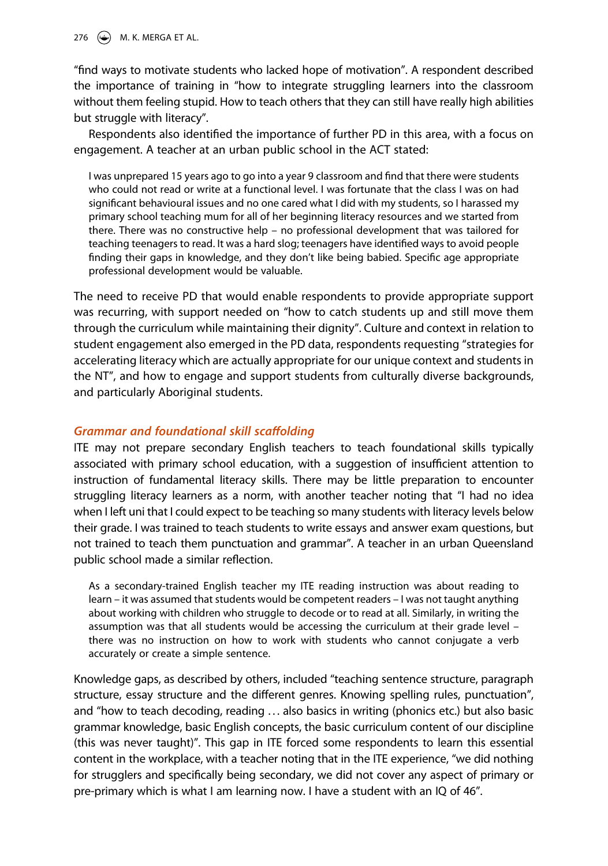276 ( $\bigoplus$ ) M. K. MERGA ET AL.

"find ways to motivate students who lacked hope of motivation". A respondent described the importance of training in "how to integrate struggling learners into the classroom without them feeling stupid. How to teach others that they can still have really high abilities but struggle with literacy".

Respondents also identified the importance of further PD in this area, with a focus on engagement. A teacher at an urban public school in the ACT stated:

I was unprepared 15 years ago to go into a year 9 classroom and find that there were students who could not read or write at a functional level. I was fortunate that the class I was on had significant behavioural issues and no one cared what I did with my students, so I harassed my primary school teaching mum for all of her beginning literacy resources and we started from there. There was no constructive help – no professional development that was tailored for teaching teenagers to read. It was a hard slog; teenagers have identified ways to avoid people finding their gaps in knowledge, and they don't like being babied. Specific age appropriate professional development would be valuable.

The need to receive PD that would enable respondents to provide appropriate support was recurring, with support needed on "how to catch students up and still move them through the curriculum while maintaining their dignity". Culture and context in relation to student engagement also emerged in the PD data, respondents requesting "strategies for accelerating literacy which are actually appropriate for our unique context and students in the NT", and how to engage and support students from culturally diverse backgrounds, and particularly Aboriginal students.

# *Grammar and foundational skill scaffolding*

ITE may not prepare secondary English teachers to teach foundational skills typically associated with primary school education, with a suggestion of insufficient attention to instruction of fundamental literacy skills. There may be little preparation to encounter struggling literacy learners as a norm, with another teacher noting that "I had no idea when I left uni that I could expect to be teaching so many students with literacy levels below their grade. I was trained to teach students to write essays and answer exam questions, but not trained to teach them punctuation and grammar". A teacher in an urban Queensland public school made a similar reflection.

As a secondary-trained English teacher my ITE reading instruction was about reading to learn – it was assumed that students would be competent readers – I was not taught anything about working with children who struggle to decode or to read at all. Similarly, in writing the assumption was that all students would be accessing the curriculum at their grade level – there was no instruction on how to work with students who cannot conjugate a verb accurately or create a simple sentence.

Knowledge gaps, as described by others, included "teaching sentence structure, paragraph structure, essay structure and the different genres. Knowing spelling rules, punctuation", and "how to teach decoding, reading ... also basics in writing (phonics etc.) but also basic grammar knowledge, basic English concepts, the basic curriculum content of our discipline (this was never taught)". This gap in ITE forced some respondents to learn this essential content in the workplace, with a teacher noting that in the ITE experience, "we did nothing for strugglers and specifically being secondary, we did not cover any aspect of primary or pre-primary which is what I am learning now. I have a student with an IQ of 46".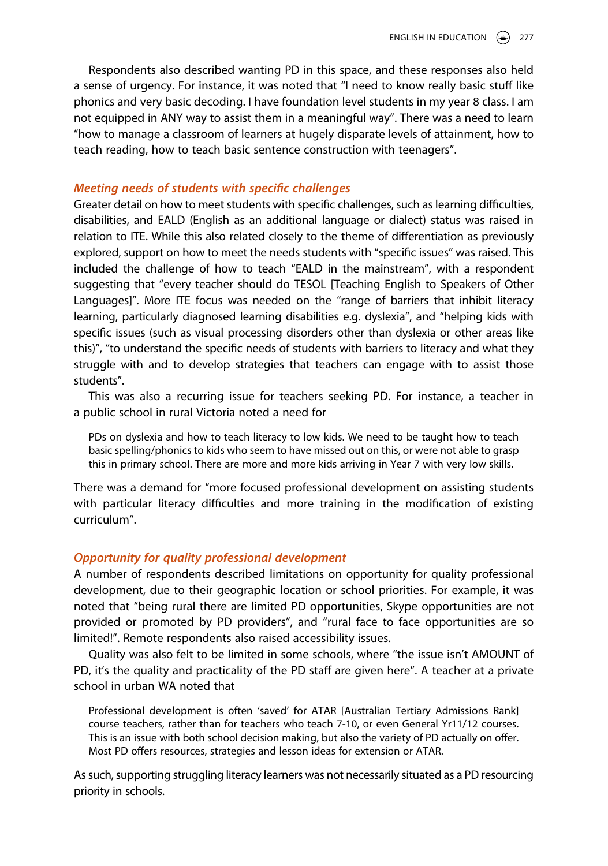Respondents also described wanting PD in this space, and these responses also held a sense of urgency. For instance, it was noted that "I need to know really basic stuff like phonics and very basic decoding. I have foundation level students in my year 8 class. I am not equipped in ANY way to assist them in a meaningful way". There was a need to learn "how to manage a classroom of learners at hugely disparate levels of attainment, how to teach reading, how to teach basic sentence construction with teenagers".

# *Meeting needs of students with specific challenges*

Greater detail on how to meet students with specific challenges, such as learning difficulties, disabilities, and EALD (English as an additional language or dialect) status was raised in relation to ITE. While this also related closely to the theme of differentiation as previously explored, support on how to meet the needs students with "specific issues" was raised. This included the challenge of how to teach "EALD in the mainstream", with a respondent suggesting that "every teacher should do TESOL [Teaching English to Speakers of Other Languages]". More ITE focus was needed on the "range of barriers that inhibit literacy learning, particularly diagnosed learning disabilities e.g. dyslexia", and "helping kids with specific issues (such as visual processing disorders other than dyslexia or other areas like this)", "to understand the specific needs of students with barriers to literacy and what they struggle with and to develop strategies that teachers can engage with to assist those students".

This was also a recurring issue for teachers seeking PD. For instance, a teacher in a public school in rural Victoria noted a need for

PDs on dyslexia and how to teach literacy to low kids. We need to be taught how to teach basic spelling/phonics to kids who seem to have missed out on this, or were not able to grasp this in primary school. There are more and more kids arriving in Year 7 with very low skills.

There was a demand for "more focused professional development on assisting students with particular literacy difficulties and more training in the modification of existing curriculum".

# *Opportunity for quality professional development*

A number of respondents described limitations on opportunity for quality professional development, due to their geographic location or school priorities. For example, it was noted that "being rural there are limited PD opportunities, Skype opportunities are not provided or promoted by PD providers", and "rural face to face opportunities are so limited!". Remote respondents also raised accessibility issues.

Quality was also felt to be limited in some schools, where "the issue isn't AMOUNT of PD, it's the quality and practicality of the PD staff are given here". A teacher at a private school in urban WA noted that

Professional development is often 'saved' for ATAR [Australian Tertiary Admissions Rank] course teachers, rather than for teachers who teach 7-10, or even General Yr11/12 courses. This is an issue with both school decision making, but also the variety of PD actually on offer. Most PD offers resources, strategies and lesson ideas for extension or ATAR.

As such, supporting struggling literacy learners was not necessarily situated as a PD resourcing priority in schools.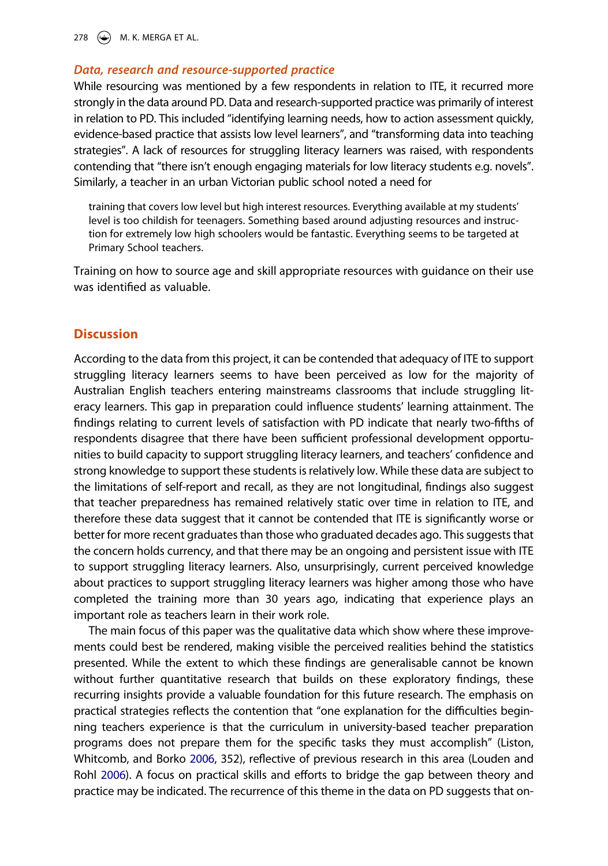278 ( $\bigcirc$ ) M. K. MERGA ET AL.

## *Data, research and resource-supported practice*

While resourcing was mentioned by a few respondents in relation to ITE, it recurred more strongly in the data around PD. Data and research-supported practice was primarily of interest in relation to PD. This included "identifying learning needs, how to action assessment quickly, evidence-based practice that assists low level learners", and "transforming data into teaching strategies". A lack of resources for struggling literacy learners was raised, with respondents contending that "there isn't enough engaging materials for low literacy students e.g. novels". Similarly, a teacher in an urban Victorian public school noted a need for

training that covers low level but high interest resources. Everything available at my students' level is too childish for teenagers. Something based around adjusting resources and instruction for extremely low high schoolers would be fantastic. Everything seems to be targeted at Primary School teachers.

Training on how to source age and skill appropriate resources with guidance on their use was identified as valuable.

# **Discussion**

According to the data from this project, it can be contended that adequacy of ITE to support struggling literacy learners seems to have been perceived as low for the majority of Australian English teachers entering mainstreams classrooms that include struggling literacy learners. This gap in preparation could influence students' learning attainment. The findings relating to current levels of satisfaction with PD indicate that nearly two-fifths of respondents disagree that there have been sufficient professional development opportunities to build capacity to support struggling literacy learners, and teachers' confidence and strong knowledge to support these students is relatively low. While these data are subject to the limitations of self-report and recall, as they are not longitudinal, findings also suggest that teacher preparedness has remained relatively static over time in relation to ITE, and therefore these data suggest that it cannot be contended that ITE is significantly worse or better for more recent graduates than those who graduated decades ago. This suggests that the concern holds currency, and that there may be an ongoing and persistent issue with ITE to support struggling literacy learners. Also, unsurprisingly, current perceived knowledge about practices to support struggling literacy learners was higher among those who have completed the training more than 30 years ago, indicating that experience plays an important role as teachers learn in their work role.

<span id="page-15-0"></span>The main focus of this paper was the qualitative data which show where these improvements could best be rendered, making visible the perceived realities behind the statistics presented. While the extent to which these findings are generalisable cannot be known without further quantitative research that builds on these exploratory findings, these recurring insights provide a valuable foundation for this future research. The emphasis on practical strategies reflects the contention that "one explanation for the difficulties beginning teachers experience is that the curriculum in university-based teacher preparation programs does not prepare them for the specific tasks they must accomplish" (Liston, Whitcomb, and Borko [2006](#page-20-11), 352), reflective of previous research in this area (Louden and Rohl [2006\)](#page-20-5). A focus on practical skills and efforts to bridge the gap between theory and practice may be indicated. The recurrence of this theme in the data on PD suggests that on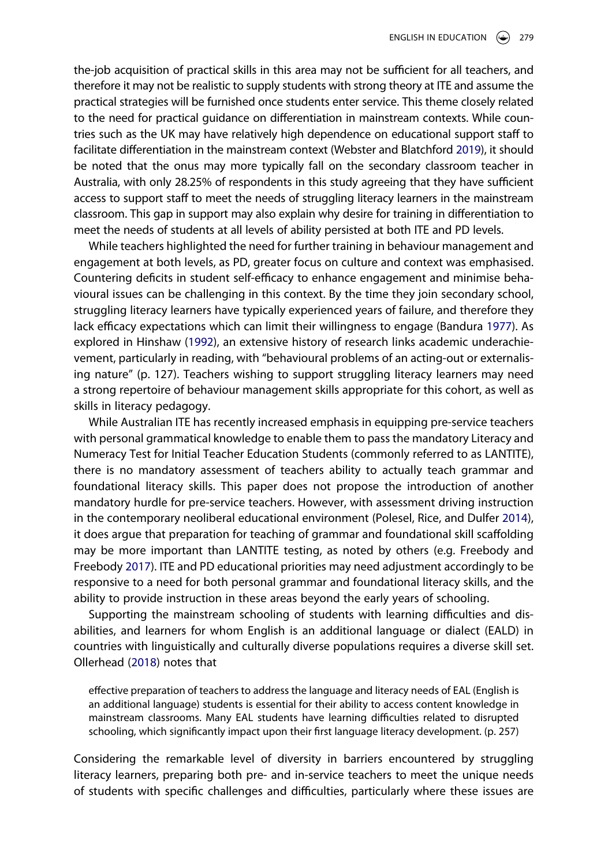<span id="page-16-5"></span>the-job acquisition of practical skills in this area may not be sufficient for all teachers, and therefore it may not be realistic to supply students with strong theory at ITE and assume the practical strategies will be furnished once students enter service. This theme closely related to the need for practical guidance on differentiation in mainstream contexts. While countries such as the UK may have relatively high dependence on educational support staff to facilitate differentiation in the mainstream context (Webster and Blatchford [2019](#page-21-14)), it should be noted that the onus may more typically fall on the secondary classroom teacher in Australia, with only 28.25% of respondents in this study agreeing that they have sufficient access to support staff to meet the needs of struggling literacy learners in the mainstream classroom. This gap in support may also explain why desire for training in differentiation to meet the needs of students at all levels of ability persisted at both ITE and PD levels.

<span id="page-16-0"></span>While teachers highlighted the need for further training in behaviour management and engagement at both levels, as PD, greater focus on culture and context was emphasised. Countering deficits in student self-efficacy to enhance engagement and minimise behavioural issues can be challenging in this context. By the time they join secondary school, struggling literacy learners have typically experienced years of failure, and therefore they lack efficacy expectations which can limit their willingness to engage (Bandura [1977](#page-19-13)). As explored in Hinshaw ([1992](#page-20-12)), an extensive history of research links academic underachievement, particularly in reading, with "behavioural problems of an acting-out or externalising nature" (p. 127). Teachers wishing to support struggling literacy learners may need a strong repertoire of behaviour management skills appropriate for this cohort, as well as skills in literacy pedagogy.

<span id="page-16-4"></span><span id="page-16-2"></span>While Australian ITE has recently increased emphasis in equipping pre-service teachers with personal grammatical knowledge to enable them to pass the mandatory Literacy and Numeracy Test for Initial Teacher Education Students (commonly referred to as LANTITE), there is no mandatory assessment of teachers ability to actually teach grammar and foundational literacy skills. This paper does not propose the introduction of another mandatory hurdle for pre-service teachers. However, with assessment driving instruction in the contemporary neoliberal educational environment (Polesel, Rice, and Dulfer [2014](#page-21-15)), it does argue that preparation for teaching of grammar and foundational skill scaffolding may be more important than LANTITE testing, as noted by others (e.g. Freebody and Freebody [2017](#page-20-13)). ITE and PD educational priorities may need adjustment accordingly to be responsive to a need for both personal grammar and foundational literacy skills, and the ability to provide instruction in these areas beyond the early years of schooling.

<span id="page-16-1"></span>Supporting the mainstream schooling of students with learning difficulties and disabilities, and learners for whom English is an additional language or dialect (EALD) in countries with linguistically and culturally diverse populations requires a diverse skill set. Ollerhead ([2018](#page-21-16)) notes that

<span id="page-16-3"></span>effective preparation of teachers to address the language and literacy needs of EAL (English is an additional language) students is essential for their ability to access content knowledge in mainstream classrooms. Many EAL students have learning difficulties related to disrupted schooling, which significantly impact upon their first language literacy development. (p. 257)

Considering the remarkable level of diversity in barriers encountered by struggling literacy learners, preparing both pre- and in-service teachers to meet the unique needs of students with specific challenges and difficulties, particularly where these issues are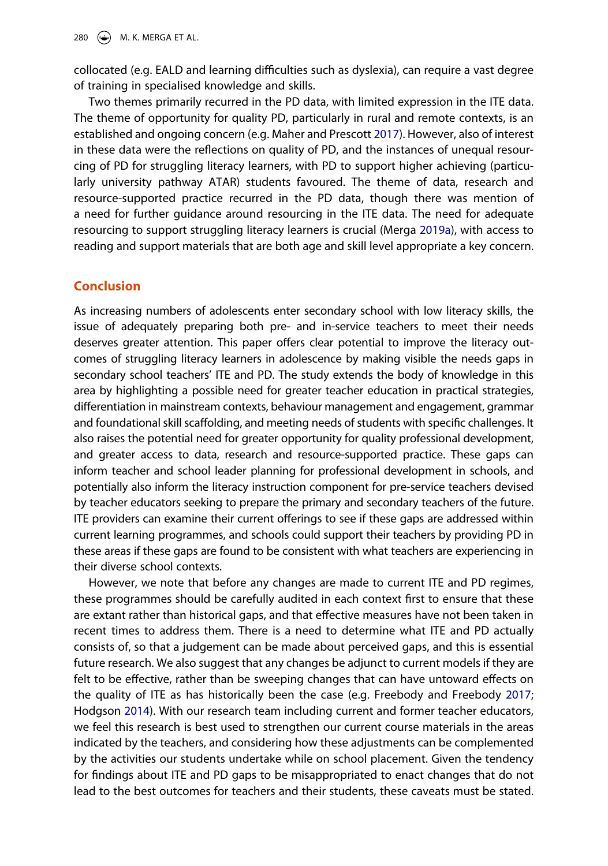collocated (e.g. EALD and learning difficulties such as dyslexia), can require a vast degree of training in specialised knowledge and skills.

<span id="page-17-1"></span>Two themes primarily recurred in the PD data, with limited expression in the ITE data. The theme of opportunity for quality PD, particularly in rural and remote contexts, is an established and ongoing concern (e.g. Maher and Prescott [2017\)](#page-20-14). However, also of interest in these data were the reflections on quality of PD, and the instances of unequal resourcing of PD for struggling literacy learners, with PD to support higher achieving (particularly university pathway ATAR) students favoured. The theme of data, research and resource-supported practice recurred in the PD data, though there was mention of a need for further guidance around resourcing in the ITE data. The need for adequate resourcing to support struggling literacy learners is crucial (Merga [2019a\)](#page-20-15), with access to reading and support materials that are both age and skill level appropriate a key concern.

# <span id="page-17-2"></span>**Conclusion**

As increasing numbers of adolescents enter secondary school with low literacy skills, the issue of adequately preparing both pre- and in-service teachers to meet their needs deserves greater attention. This paper offers clear potential to improve the literacy outcomes of struggling literacy learners in adolescence by making visible the needs gaps in secondary school teachers' ITE and PD. The study extends the body of knowledge in this area by highlighting a possible need for greater teacher education in practical strategies, differentiation in mainstream contexts, behaviour management and engagement, grammar and foundational skill scaffolding, and meeting needs of students with specific challenges. It also raises the potential need for greater opportunity for quality professional development, and greater access to data, research and resource-supported practice. These gaps can inform teacher and school leader planning for professional development in schools, and potentially also inform the literacy instruction component for pre-service teachers devised by teacher educators seeking to prepare the primary and secondary teachers of the future. ITE providers can examine their current offerings to see if these gaps are addressed within current learning programmes, and schools could support their teachers by providing PD in these areas if these gaps are found to be consistent with what teachers are experiencing in their diverse school contexts.

<span id="page-17-0"></span>However, we note that before any changes are made to current ITE and PD regimes, these programmes should be carefully audited in each context first to ensure that these are extant rather than historical gaps, and that effective measures have not been taken in recent times to address them. There is a need to determine what ITE and PD actually consists of, so that a judgement can be made about perceived gaps, and this is essential future research. We also suggest that any changes be adjunct to current models if they are felt to be effective, rather than be sweeping changes that can have untoward effects on the quality of ITE as has historically been the case (e.g. Freebody and Freebody [2017](#page-20-13); Hodgson [2014](#page-20-16)). With our research team including current and former teacher educators, we feel this research is best used to strengthen our current course materials in the areas indicated by the teachers, and considering how these adjustments can be complemented by the activities our students undertake while on school placement. Given the tendency for findings about ITE and PD gaps to be misappropriated to enact changes that do not lead to the best outcomes for teachers and their students, these caveats must be stated.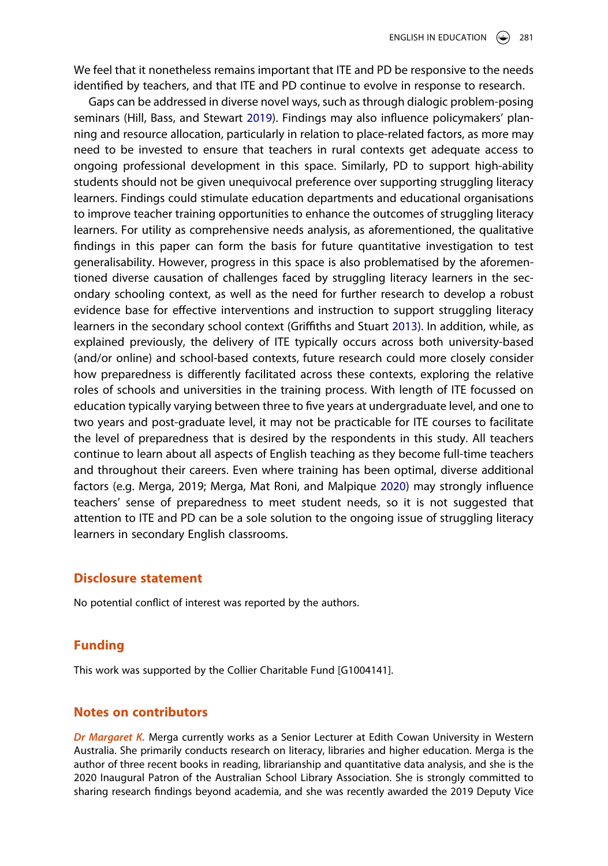We feel that it nonetheless remains important that ITE and PD be responsive to the needs identified by teachers, and that ITE and PD continue to evolve in response to research.

<span id="page-18-1"></span><span id="page-18-0"></span>Gaps can be addressed in diverse novel ways, such as through dialogic problem-posing seminars (Hill, Bass, and Stewart [2019\)](#page-20-17). Findings may also influence policymakers' planning and resource allocation, particularly in relation to place-related factors, as more may need to be invested to ensure that teachers in rural contexts get adequate access to ongoing professional development in this space. Similarly, PD to support high-ability students should not be given unequivocal preference over supporting struggling literacy learners. Findings could stimulate education departments and educational organisations to improve teacher training opportunities to enhance the outcomes of struggling literacy learners. For utility as comprehensive needs analysis, as aforementioned, the qualitative findings in this paper can form the basis for future quantitative investigation to test generalisability. However, progress in this space is also problematised by the aforementioned diverse causation of challenges faced by struggling literacy learners in the secondary schooling context, as well as the need for further research to develop a robust evidence base for effective interventions and instruction to support struggling literacy learners in the secondary school context (Griffiths and Stuart [2013\)](#page-20-18). In addition, while, as explained previously, the delivery of ITE typically occurs across both university-based (and/or online) and school-based contexts, future research could more closely consider how preparedness is differently facilitated across these contexts, exploring the relative roles of schools and universities in the training process. With length of ITE focussed on education typically varying between three to five years at undergraduate level, and one to two years and post-graduate level, it may not be practicable for ITE courses to facilitate the level of preparedness that is desired by the respondents in this study. All teachers continue to learn about all aspects of English teaching as they become full-time teachers and throughout their careers. Even where training has been optimal, diverse additional factors (e.g. Merga, 2019; Merga, Mat Roni, and Malpique [2020](#page-20-7)) may strongly influence teachers' sense of preparedness to meet student needs, so it is not suggested that attention to ITE and PD can be a sole solution to the ongoing issue of struggling literacy learners in secondary English classrooms.

# **Disclosure statement**

No potential conflict of interest was reported by the authors.

#### **Funding**

This work was supported by the Collier Charitable Fund [G1004141].

# **Notes on contributors**

*Dr Margaret K.* Merga currently works as a Senior Lecturer at Edith Cowan University in Western Australia. She primarily conducts research on literacy, libraries and higher education. Merga is the author of three recent books in reading, librarianship and quantitative data analysis, and she is the 2020 Inaugural Patron of the Australian School Library Association. She is strongly committed to sharing research findings beyond academia, and she was recently awarded the 2019 Deputy Vice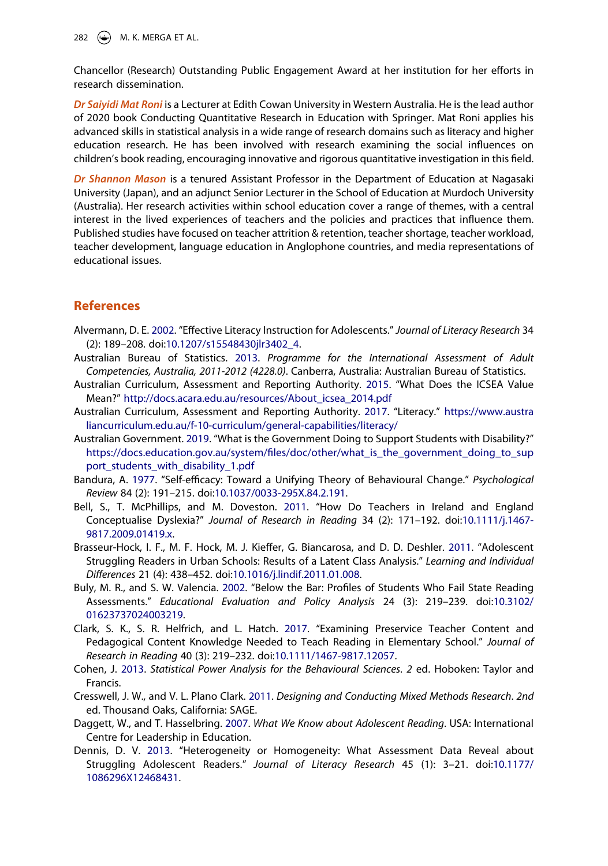282  $\left(\frac{1}{2}\right)$  M. K. MERGA ET AL.

Chancellor (Research) Outstanding Public Engagement Award at her institution for her efforts in research dissemination.

*Dr Saiyidi Mat Roni* is a Lecturer at Edith Cowan University in Western Australia. He is the lead author of 2020 book Conducting Quantitative Research in Education with Springer. Mat Roni applies his advanced skills in statistical analysis in a wide range of research domains such as literacy and higher education research. He has been involved with research examining the social influences on children's book reading, encouraging innovative and rigorous quantitative investigation in this field.

*Dr Shannon Mason* is a tenured Assistant Professor in the Department of Education at Nagasaki University (Japan), and an adjunct Senior Lecturer in the School of Education at Murdoch University (Australia). Her research activities within school education cover a range of themes, with a central interest in the lived experiences of teachers and the policies and practices that influence them. Published studies have focused on teacher attrition & retention, teacher shortage, teacher workload, teacher development, language education in Anglophone countries, and media representations of educational issues.

# **References**

- <span id="page-19-4"></span>Alvermann, D. E. [2002](#page-3-0). "Effective Literacy Instruction for Adolescents." *Journal of Literacy Research* 34 (2): 189–208. doi:[10.1207/s15548430jlr3402\\_4.](https://doi.org/10.1207/s15548430jlr3402_4)
- <span id="page-19-1"></span>Australian Bureau of Statistics. [2013](#page-2-2). *Programme for the International Assessment of Adult Competencies, Australia, 2011-2012 (4228.0)*. Canberra, Australia: Australian Bureau of Statistics.
- <span id="page-19-11"></span>Australian Curriculum, Assessment and Reporting Authority. [2015.](#page-7-1) "What Does the ICSEA Value Mean?" [http://docs.acara.edu.au/resources/About\\_icsea\\_2014.pdf](http://docs.acara.edu.au/resources/About_icsea_2014.pdf)
- <span id="page-19-2"></span>Australian Curriculum, Assessment and Reporting Authority. [2017](#page-3-1). "Literacy." [https://www.austra](https://www.australiancurriculum.edu.au/f-10-curriculum/general-capabilities/literacy/) [liancurriculum.edu.au/f-10-curriculum/general-capabilities/literacy/](https://www.australiancurriculum.edu.au/f-10-curriculum/general-capabilities/literacy/)
- <span id="page-19-10"></span>Australian Government. [2019.](#page-7-2) "What is the Government Doing to Support Students with Disability?" [https://docs.education.gov.au/system/files/doc/other/what\\_is\\_the\\_government\\_doing\\_to\\_sup](https://docs.education.gov.au/system/files/doc/other/what_is_the_government_doing_to_support_students_with_disability_1.pdf) [port\\_students\\_with\\_disability\\_1.pdf](https://docs.education.gov.au/system/files/doc/other/what_is_the_government_doing_to_support_students_with_disability_1.pdf)
- <span id="page-19-13"></span>Bandura, A. [1977.](#page-16-0) "Self-efficacy: Toward a Unifying Theory of Behavioural Change." *Psychological Review* 84 (2): 191–215. doi:[10.1037/0033-295X.84.2.191.](https://doi.org/10.1037/0033-295X.84.2.191)
- <span id="page-19-8"></span>Bell, S., T. McPhillips, and M. Doveston. [2011.](#page-4-0) "How Do Teachers in Ireland and England Conceptualise Dyslexia?" *Journal of Research in Reading* 34 (2): 171–192. doi:[10.1111/j.1467-](https://doi.org/10.1111/j.1467-9817.2009.01419.x) [9817.2009.01419.x.](https://doi.org/10.1111/j.1467-9817.2009.01419.x)
- <span id="page-19-7"></span>Brasseur-Hock, I. F., M. F. Hock, M. J. Kieffer, G. Biancarosa, and D. D. Deshler. [2011.](#page-3-2) "Adolescent Struggling Readers in Urban Schools: Results of a Latent Class Analysis." *Learning and Individual Differences* 21 (4): 438–452. doi:[10.1016/j.lindif.2011.01.008.](https://doi.org/10.1016/j.lindif.2011.01.008)
- <span id="page-19-5"></span>Buly, M. R., and S. W. Valencia. [2002.](#page-3-3) "Below the Bar: Profiles of Students Who Fail State Reading Assessments." *Educational Evaluation and Policy Analysis* 24 (3): 219–239. doi:[10.3102/](https://doi.org/10.3102/01623737024003219) [01623737024003219](https://doi.org/10.3102/01623737024003219).
- <span id="page-19-3"></span>Clark, S. K., S. R. Helfrich, and L. Hatch. [2017](#page-3-4). "Examining Preservice Teacher Content and Pedagogical Content Knowledge Needed to Teach Reading in Elementary School." *Journal of Research in Reading* 40 (3): 219–232. doi:[10.1111/1467-9817.12057](https://doi.org/10.1111/1467-9817.12057).
- <span id="page-19-9"></span>Cohen, J. [2013.](#page-6-1) *Statistical Power Analysis for the Behavioural Sciences*. *2* ed. Hoboken: Taylor and Francis.
- <span id="page-19-12"></span>Cresswell, J. W., and V. L. Plano Clark. [2011](#page-8-0). *Designing and Conducting Mixed Methods Research*. *2nd*  ed. Thousand Oaks, California: SAGE.
- <span id="page-19-0"></span>Daggett, W., and T. Hasselbring. [2007](#page-2-3). *What We Know about Adolescent Reading*. USA: International Centre for Leadership in Education.
- <span id="page-19-6"></span>Dennis, D. V. [2013](#page-3-3). "Heterogeneity or Homogeneity: What Assessment Data Reveal about Struggling Adolescent Readers." *Journal of Literacy Research* 45 (1): 3–21. doi:[10.1177/](https://doi.org/10.1177/1086296X12468431) [1086296X12468431.](https://doi.org/10.1177/1086296X12468431)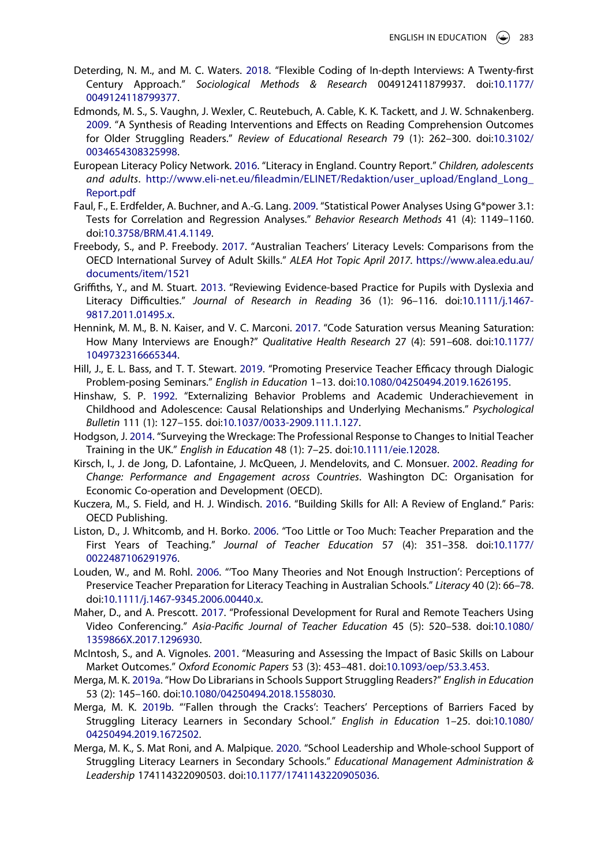- <span id="page-20-9"></span>Deterding, N. M., and M. C. Waters. [2018](#page-9-0). "Flexible Coding of In-depth Interviews: A Twenty-first Century Approach." *Sociological Methods & Research* 004912411879937. doi:[10.1177/](https://doi.org/10.1177/0049124118799377) [0049124118799377.](https://doi.org/10.1177/0049124118799377)
- <span id="page-20-4"></span>Edmonds, M. S., S. Vaughn, J. Wexler, C. Reutebuch, A. Cable, K. K. Tackett, and J. W. Schnakenberg. [2009](#page-3-5). "A Synthesis of Reading Interventions and Effects on Reading Comprehension Outcomes for Older Struggling Readers." *Review of Educational Research* 79 (1): 262–300. doi:[10.3102/](https://doi.org/10.3102/0034654308325998) [0034654308325998.](https://doi.org/10.3102/0034654308325998)
- <span id="page-20-6"></span>European Literacy Policy Network. [2016.](#page-4-1) "Literacy in England. Country Report." *Children, adolescents and adults*. [http://www.eli-net.eu/fileadmin/ELINET/Redaktion/user\\_upload/England\\_Long\\_](http://www.eli-net.eu/fileadmin/ELINET/Redaktion/user_upload/England_Long_Report.pdf) [Report.pdf](http://www.eli-net.eu/fileadmin/ELINET/Redaktion/user_upload/England_Long_Report.pdf)
- <span id="page-20-8"></span>Faul, F., E. Erdfelder, A. Buchner, and A.-G. Lang. [2009](#page-6-2). "Statistical Power Analyses Using G\*power 3.1: Tests for Correlation and Regression Analyses." *Behavior Research Methods* 41 (4): 1149–1160. doi:[10.3758/BRM.41.4.1149](https://doi.org/10.3758/BRM.41.4.1149).
- <span id="page-20-13"></span>Freebody, S., and P. Freebody. [2017.](#page-16-1) "Australian Teachers' Literacy Levels: Comparisons from the OECD International Survey of Adult Skills." *ALEA Hot Topic April 2017*. [https://www.alea.edu.au/](https://www.alea.edu.au/documents/item/1521) [documents/item/1521](https://www.alea.edu.au/documents/item/1521)
- <span id="page-20-18"></span>Griffiths, Y., and M. Stuart. [2013](#page-18-0). "Reviewing Evidence-based Practice for Pupils with Dyslexia and Literacy Difficulties." *Journal of Research in Reading* 36 (1): 96–116. doi:[10.1111/j.1467-](https://doi.org/10.1111/j.1467-9817.2011.01495.x) [9817.2011.01495.x.](https://doi.org/10.1111/j.1467-9817.2011.01495.x)
- <span id="page-20-10"></span>Hennink, M. M., B. N. Kaiser, and V. C. Marconi. [2017](#page-9-1). "Code Saturation versus Meaning Saturation: How Many Interviews are Enough?" *Qualitative Health Research* 27 (4): 591–608. doi:[10.1177/](https://doi.org/10.1177/1049732316665344) [1049732316665344.](https://doi.org/10.1177/1049732316665344)
- <span id="page-20-17"></span>Hill, J., E. L. Bass, and T. T. Stewart. [2019](#page-18-1). "Promoting Preservice Teacher Efficacy through Dialogic Problem-posing Seminars." *English in Education* 1–13. doi:[10.1080/04250494.2019.1626195.](https://doi.org/10.1080/04250494.2019.1626195)
- <span id="page-20-12"></span>Hinshaw, S. P. [1992](#page-16-2). "Externalizing Behavior Problems and Academic Underachievement in Childhood and Adolescence: Causal Relationships and Underlying Mechanisms." *Psychological Bulletin* 111 (1): 127–155. doi:[10.1037/0033-2909.111.1.127](https://doi.org/10.1037/0033-2909.111.1.127).
- <span id="page-20-16"></span>Hodgson, J. [2014.](#page-17-0) "Surveying the Wreckage: The Professional Response to Changes to Initial Teacher Training in the UK." *English in Education* 48 (1): 7–25. doi:[10.1111/eie.12028.](https://doi.org/10.1111/eie.12028)
- <span id="page-20-0"></span>Kirsch, I., J. de Jong, D. Lafontaine, J. McQueen, J. Mendelovits, and C. Monsuer. [2002.](#page-2-4) *Reading for Change: Performance and Engagement across Countries*. Washington DC: Organisation for Economic Co-operation and Development (OECD).
- <span id="page-20-2"></span>Kuczera, M., S. Field, and H. J. Windisch. [2016](#page-3-6). "Building Skills for All: A Review of England." Paris: OECD Publishing.
- <span id="page-20-11"></span>Liston, D., J. Whitcomb, and H. Borko. [2006](#page-15-0). "Too Little or Too Much: Teacher Preparation and the First Years of Teaching." *Journal of Teacher Education* 57 (4): 351–358. doi:[10.1177/](https://doi.org/10.1177/0022487106291976) [0022487106291976.](https://doi.org/10.1177/0022487106291976)
- <span id="page-20-5"></span>Louden, W., and M. Rohl. [2006.](#page-3-7) "'Too Many Theories and Not Enough Instruction': Perceptions of Preservice Teacher Preparation for Literacy Teaching in Australian Schools." *Literacy* 40 (2): 66–78. doi:[10.1111/j.1467-9345.2006.00440.x.](https://doi.org/10.1111/j.1467-9345.2006.00440.x)
- <span id="page-20-14"></span>Maher, D., and A. Prescott. [2017.](#page-17-1) "Professional Development for Rural and Remote Teachers Using Video Conferencing." *Asia-Pacific Journal of Teacher Education* 45 (5): 520–538. doi:[10.1080/](https://doi.org/10.1080/1359866X.2017.1296930) [1359866X.2017.1296930.](https://doi.org/10.1080/1359866X.2017.1296930)
- <span id="page-20-1"></span>McIntosh, S., and A. Vignoles. [2001](#page-2-4). "Measuring and Assessing the Impact of Basic Skills on Labour Market Outcomes." *Oxford Economic Papers* 53 (3): 453–481. doi:[10.1093/oep/53.3.453](https://doi.org/10.1093/oep/53.3.453).
- <span id="page-20-15"></span>Merga, M. K. [2019a](#page-17-2). "How Do Librarians in Schools Support Struggling Readers?" *English in Education*  53 (2): 145–160. doi:[10.1080/04250494.2018.1558030.](https://doi.org/10.1080/04250494.2018.1558030)
- <span id="page-20-3"></span>Merga, M. K. [2019b](#page-3-8). "'Fallen through the Cracks': Teachers' Perceptions of Barriers Faced by Struggling Literacy Learners in Secondary School." *English in Education* 1–25. doi:[10.1080/](https://doi.org/10.1080/04250494.2019.1672502) [04250494.2019.1672502](https://doi.org/10.1080/04250494.2019.1672502).
- <span id="page-20-7"></span>Merga, M. K., S. Mat Roni, and A. Malpique. [2020.](#page-5-0) "School Leadership and Whole-school Support of Struggling Literacy Learners in Secondary Schools." *Educational Management Administration & Leadership* 174114322090503. doi:[10.1177/1741143220905036](https://doi.org/10.1177/1741143220905036).